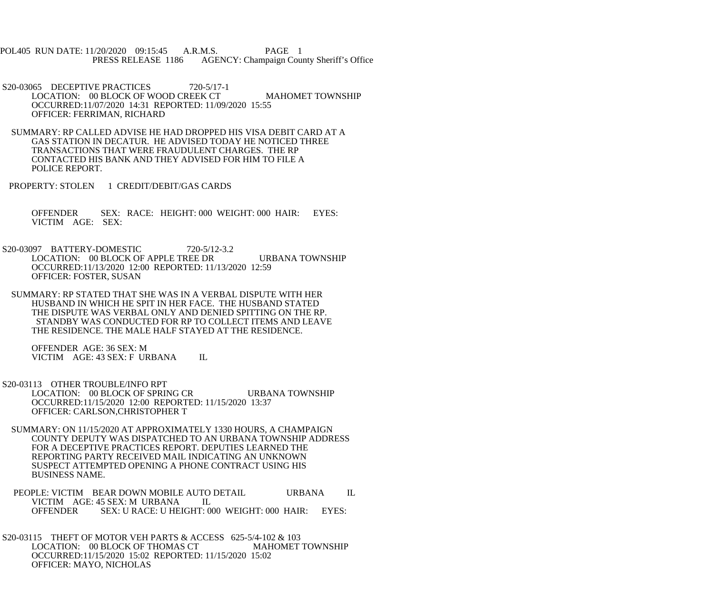POL405 RUN DATE: 11/20/2020 09:15:45 A.R.M.S. PAGE 1 PRESS RELEASE 1186 AGENCY: Champaign County Sheriff's Office

S20-03065 DECEPTIVE PRACTICES 720-5/17-1 LOCATION: 00 BLOCK OF WOOD CREEK CT MAHOMET TOWNSHIP OCCURRED:11/07/2020 14:31 REPORTED: 11/09/2020 15:55 OFFICER: FERRIMAN, RICHARD

 SUMMARY: RP CALLED ADVISE HE HAD DROPPED HIS VISA DEBIT CARD AT A GAS STATION IN DECATUR. HE ADVISED TODAY HE NOTICED THREE TRANSACTIONS THAT WERE FRAUDULENT CHARGES. THE RP CONTACTED HIS BANK AND THEY ADVISED FOR HIM TO FILE A POLICE REPORT.

PROPERTY: STOLEN 1 CREDIT/DEBIT/GAS CARDS

 OFFENDER SEX: RACE: HEIGHT: 000 WEIGHT: 000 HAIR: EYES: VICTIM AGE: SEX:

 S20-03097 BATTERY-DOMESTIC 720-5/12-3.2 LOCATION: 00 BLOCK OF APPLE TREE DR URBANA TOWNSHIP OCCURRED:11/13/2020 12:00 REPORTED: 11/13/2020 12:59 OFFICER: FOSTER, SUSAN

 SUMMARY: RP STATED THAT SHE WAS IN A VERBAL DISPUTE WITH HER HUSBAND IN WHICH HE SPIT IN HER FACE. THE HUSBAND STATED THE DISPUTE WAS VERBAL ONLY AND DENIED SPITTING ON THE RP. STANDBY WAS CONDUCTED FOR RP TO COLLECT ITEMS AND LEAVE THE RESIDENCE. THE MALE HALF STAYED AT THE RESIDENCE.

 OFFENDER AGE: 36 SEX: M VICTIM AGE: 43 SEX: F URBANA IL

 S20-03113 OTHER TROUBLE/INFO RPT LOCATION: 00 BLOCK OF SPRING CR URBANA TOWNSHIP OCCURRED:11/15/2020 12:00 REPORTED: 11/15/2020 13:37 OFFICER: CARLSON,CHRISTOPHER T

 SUMMARY: ON 11/15/2020 AT APPROXIMATELY 1330 HOURS, A CHAMPAIGN COUNTY DEPUTY WAS DISPATCHED TO AN URBANA TOWNSHIP ADDRESS FOR A DECEPTIVE PRACTICES REPORT. DEPUTIES LEARNED THE REPORTING PARTY RECEIVED MAIL INDICATING AN UNKNOWN SUSPECT ATTEMPTED OPENING A PHONE CONTRACT USING HIS BUSINESS NAME.

PEOPLE: VICTIM BEAR DOWN MOBILE AUTO DETAIL URBANA IL VICTIM AGE: 45 SEX: M URBANA IL<br>OFFENDER SEX: U RACE: U HEIGHT: 0 SEX: U RACE: U HEIGHT: 000 WEIGHT: 000 HAIR: EYES:

 S20-03115 THEFT OF MOTOR VEH PARTS & ACCESS 625-5/4-102 & 103 LOCATION: 00 BLOCK OF THOMAS CT MAHOMET TOWNSHIP OCCURRED:11/15/2020 15:02 REPORTED: 11/15/2020 15:02 OFFICER: MAYO, NICHOLAS